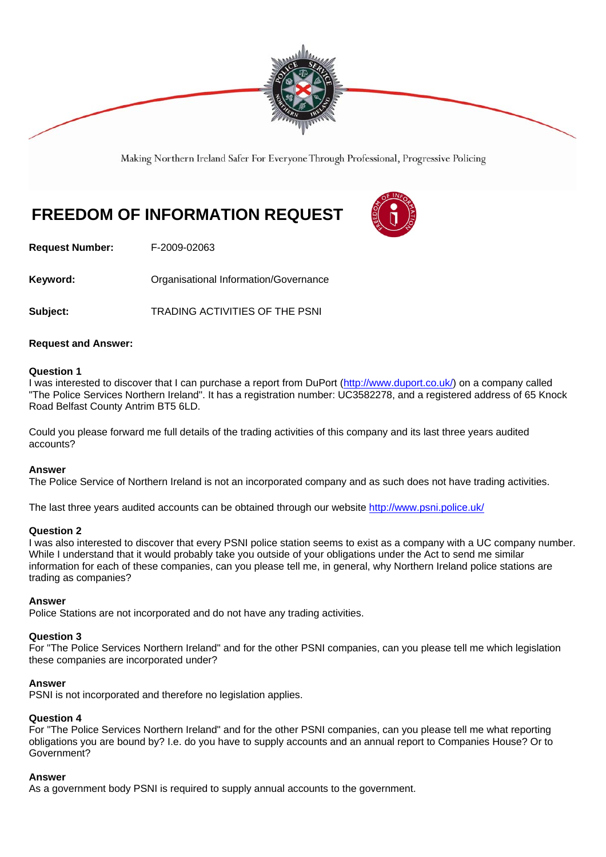

Making Northern Ireland Safer For Everyone Through Professional, Progressive Policing

# **FREEDOM OF INFORMATION REQUEST**



**Request Number:** F-2009-02063

**Keyword: Communistry Communistional Information/Governance** 

Subject: TRADING ACTIVITIES OF THE PSNI

### **Request and Answer:**

#### **Question 1**

I was interested to discover that I can purchase a report from DuPort (http://www.duport.co.uk/) on a company called "The Police Services Northern Ireland". It has a registration number: UC3582278, and a registered address of 65 Knock Road Belfast County Antrim BT5 6LD.

Could you please forward me full details of the trading activities of this company and its last three years audited accounts?

#### **Answer**

The Police Service of Northern Ireland is not an incorporated company and as such does not have trading activities.

The last three years audited accounts can be obtained through our website http://www.psni.police.uk/

#### **Question 2**

I was also interested to discover that every PSNI police station seems to exist as a company with a UC company number. While I understand that it would probably take you outside of your obligations under the Act to send me similar information for each of these companies, can you please tell me, in general, why Northern Ireland police stations are trading as companies?

#### **Answer**

Police Stations are not incorporated and do not have any trading activities.

## **Question 3**

For "The Police Services Northern Ireland" and for the other PSNI companies, can you please tell me which legislation these companies are incorporated under?

## **Answer**

PSNI is not incorporated and therefore no legislation applies.

## **Question 4**

For "The Police Services Northern Ireland" and for the other PSNI companies, can you please tell me what reporting obligations you are bound by? I.e. do you have to supply accounts and an annual report to Companies House? Or to Government?

#### **Answer**

As a government body PSNI is required to supply annual accounts to the government.